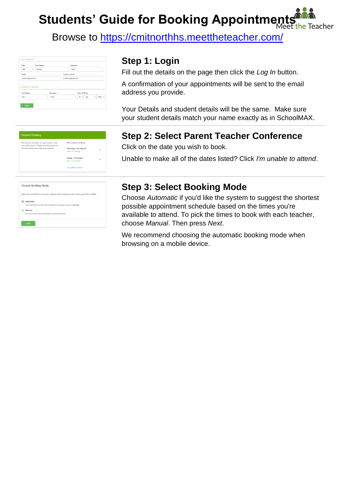**Students' Guide for Booking Appointments** Teacher

Browse to https://cmitnorthhs.meettheteacher.com/

| Title                                         | <b>First Name</b> | Surname              |
|-----------------------------------------------|-------------------|----------------------|
| Mrs<br>٠                                      | Rachael           | Abbot                |
| Email                                         |                   | <b>Confirm Email</b> |
|                                               |                   |                      |
| rabbot4@gmail.com                             |                   | rabbot4@gmail.com    |
| <b>Student's Details</b><br><b>First Name</b> | Surname           | <b>Date Of Birth</b> |

## **Step 1: Login**

Fill out the details on the page then click the *Log In* button.

A confirmation of your appointments will be sent to the email address you provide.

Your Details and student details will be the same. Make sure your student details match your name exactly as in SchoolMAX.

# Parents' Evenind Thursday, 16th March .<br>riday, 17th Marcl

| Select how you'd like to book your appointments using the option below, and then hit Next. |
|--------------------------------------------------------------------------------------------|
| Automatic                                                                                  |
| Automatically book the best possible times based on your availability                      |
| Manual                                                                                     |
| Choose the time you would like to see each teacher                                         |

## **Step 2: Select Parent Teacher Conference**

Click on the date you wish to book.

Unable to make all of the dates listed? Click *I'm unable to attend*.

#### **Step 3: Select Booking Mode**

Choose *Automatic* if you'd like the system to suggest the shortest possible appointment schedule based on the times you're available to attend. To pick the times to book with each teacher, choose *Manual*. Then press *Next*.

We recommend choosing the automatic booking mode when browsing on a mobile device.